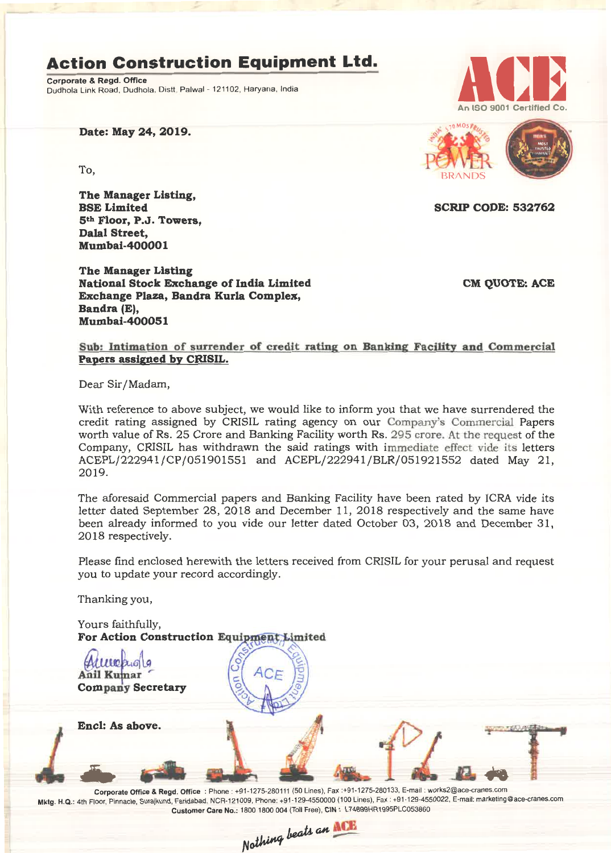# **Action Construction Equipment Ltd.**

Corporate & Regd. Office Dudhola Link Road, Dudhola, Distt. Palwal- 121102, Haryana, India



Date: May 24, 2019.

b, the state of the state of the state of the state of the state of the state of the state of the state of the state of the state of the state of the state of the state of the state of the state of the state of the state o

The Manager Listing, BSE Limited 5th Floor, P.J. Towers, Dalal Street, Mumbai-40000 1

The Manager Listing National Stock Exchange of India Limited Exchange Plaza, Bandra Kurla Complex, Bandra (E), Mumbai-400051

CM OUOTE: ACE

SCRIP CODE: 532762

Sub: Intimation of surrender of credit rating on Banking Facility and Commercial Papers assigned by CRISIL.

Dear Sir/Madam,

With reference to above subject, we would like to inform you that we have surrendered the credit rating assigned by CRISIL rating agency on our Company's Commercial Papers worth value of Rs. 25 Crore and Banking Facility worth Rs. 295 crore. At the request of the Company, CRISIL has withdrawn the said ratings with immediate effect vide its letters ACEPL/222941/CP/051901551 and ACEPL/222941/BLR/051921552 dated May 21, 2019.

The aforesaid Commercial papers and Banking Facility have been rated by ICRA vide its letter dated September 28, 2018 and December 11, 2018 respectively and the same have been already informed to you vide our letter dated October 03, 2018 and December 31, 2018 respectively.

Please find enclosed herewith the letters received from CRISIL for your perusal and request you to update your record accordingly.

Thanking you,

Yours faithfully, For Action Construction Equipment Limited

Allleagle Company Secretary

Encl: As above.

Corporate Office & Regd. Office: Phone: +91-1275-280111(50 Lines), Fax:+91-1275-280133, E-mail: works2@ace-cranes.com Mktg. H.Q.: 4th Floor, Pinnacle, Surajkund, Faridabad, NCR-121009, Phone: +91-129-4550000 (100 Lines), Fax: +91·129-4550022, E-mail: marketing@ace-cranes.com Customer Care No.: 18001800004 (Toll Free), CIN: L74899HR1995PLC053860

Nothing beats an ACE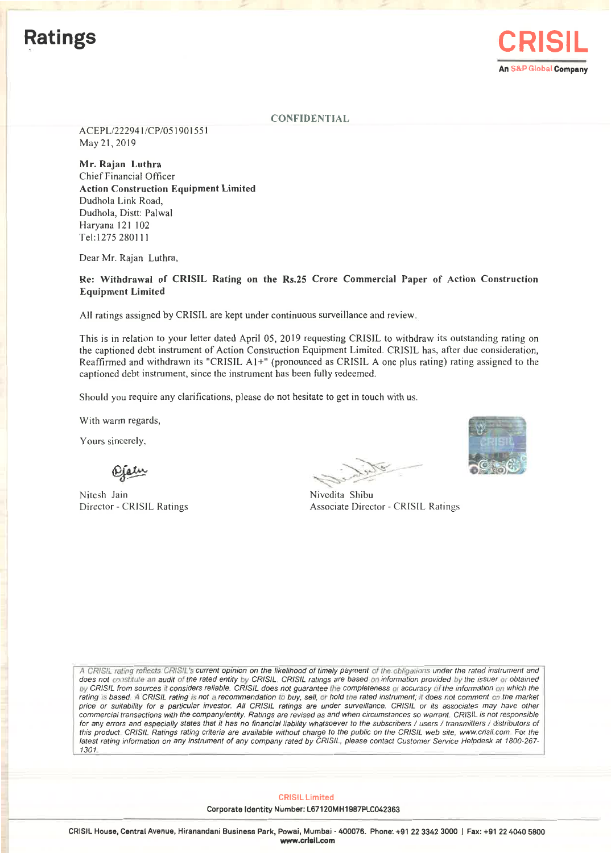

## **CONFIDENTIAL**

ACEPL/222941/CP/051901551 May 21, 2019

Mr. Rajan Luthra Chief Financial Officer Action Construction Equipment Limited Dudhola Link Road, Dudhola, Distt: Palwal Haryana 121 102 Tel:1275280111

Dear Mr. Rajan Luthra,

Re: Withdrawal of CRISIL Rating on the Rs.25 Crore Commercial Paper of Action Construction Equipment Limited

All ratings assigned by CRISIL are kept under continuous surveillance and review.

This is in relation to your letter dated April OS, 2019 requesting CRISIL to withdraw its outstanding rating on the captioned debt instrument of Action Construction Equipment Limited. CRISIL has, after due consideration, Reaffirmed and withdrawn its "CRISIL A1+" (pronounced as CRISIL A one plus rating) rating assigned to the captioned debt instrument, since the instrument has been fully redeemed.

Should you require any clarifications, please do not hesitate to get in touch with us.

With warm regards,

Yours sincerely,

Ojain

Nitesh Jain Director - CRISIL Ratings

- <u>... yer</u>  $\overline{\phantom{a}}$ (p. 1975)



Nivedita Shibu Associate Director - CRISIL Ratings

A CRISIL rating reflects CRISIL's current opinion on the likelihood of timely payment of the obligations under the rated instrument and does not constitute an audit of the rated entity by CRISIL, CRISIL ratings are based on information provided by the issuer or obtained *Oy CRISIL from sources* if *considers reliable. CRISIL does not guarantee the completeness* 01 *accuracy of the information on which the* rating is based. A CRISIL rating is not a recommendation to buy, sell, or hold the rated instrument; it does not comment on the market *price or suitability for* a *particular investor. All CRISIL ratings are under surveillance. CRISIL or its associates may have other commercial transactions with the company/entity. Ratings are revised as and when circumstances so warrant CRISIL is not responsible for any errors and especially states that it has no financial liability whatsoever* to *the subscribers / users / transmitters / distributors* of *this product CRISIL Ratings rating criteria are available without charge to the public on the CRISIL web site, www.crisil.com. For the latest rating information on any instrument of any company rated by CRISIL, please contact Customer Service Helpdesk* at *1800-267- 1301*

**CRISIL Limited** 

Corporate Identity Number: L67120MH1987PLC042363

CRISIL House, Central Avenue, Hiranandani Business Park, Powai, Mumbai - 400076. Phone: +91 22 3342 3000 | Fax: +91 22 4040 5800 www.crlail.com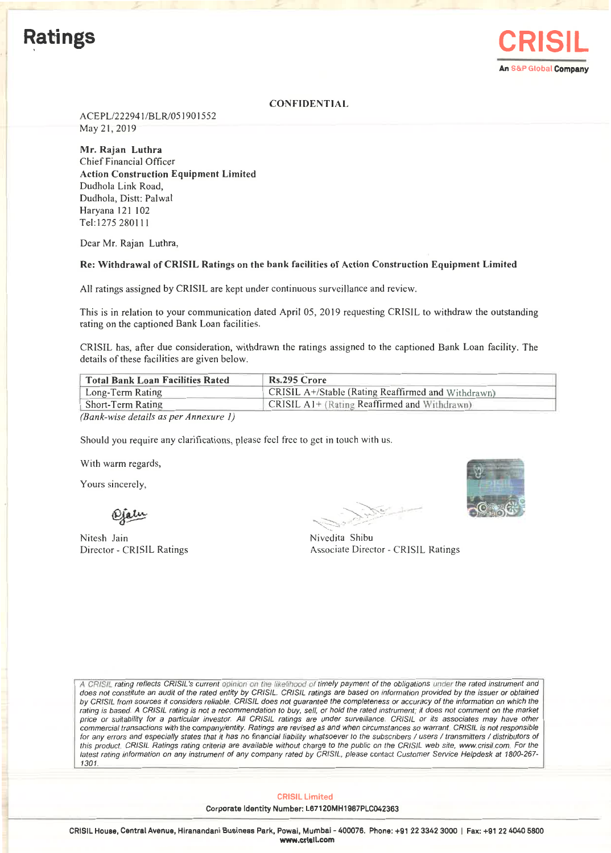

### **CONFIDENTIAL**

ACEPL/222941/BLR/051901552 May 21,2019

Mr. Rajan Luthra Chief Financial Officer Action Construction Equipment Limited Dudhola Link Road, Dudhola, Distt: Palwal Haryana 121 102 Tel: 1275280111

Dear Mr. Rajan Luthra,

### Re: Withdrawal of CRISIL Ratings on the bank facilities of Action Construction Equipment Limited

All ratings assigned by CRISIL are kept under continuous surveillance and review.

This is in relation to your communication dated April 05, 2019 requesting CR1SlL to withdraw the outstanding rating on the captioned Bank Loan facilities.

CRISIL has, after due consideration, withdrawn the ratings assigned to the captioned Bank Loan facility. The details of these facilities are given below.

| <b>Total Bank Loan Facilities Rated</b> | Rs.295 Crore                                       |  |
|-----------------------------------------|----------------------------------------------------|--|
| Long-Term Rating                        | CRISIL A+/Stable (Rating Reaffirmed and Withdrawn) |  |
| Short-Term Rating                       | CRISIL A1+ (Rating Reaffirmed and Withdrawn)       |  |
|                                         |                                                    |  |

*(Bank-wise details as per Annexure 1)*

Should you require any clarifications, please feel free to get in touch with us.

With warm regards,

Yours sincerely,

Ojalu

Nitesh Jain Director - CRlSlL Ratings

~~~~~

Nivedita Shibu Associate Director - CRlSlL Ratings

A *CRISIL rating reflects CRISIL's current opinion on the IlkellhorxJ of timely payment of the obligations under the rated instrument and does not constitute an audit of the rated entity by CRISIL. CRISIL ratings are based on information provided by the issuer or obtained by CRISIL from sources it considers reliable. CRISIL does not guarantee the completeness* or *accuracy of the information on which the rating* is *based.* A *CRISIL rating* is *not* a *recommendation to buy, sell, or hold the rated instrument; it does not comment on the market price or suitability for* a *particular investor. All CRISIL ratings are under surveillance, CRISIL or its associates may have other commercial transactions with the company/entity. Ratings are revised* as *and when circumstances so warrant CRISIL is not responsible for any errors and especially states that it has no financial liability whatsoever to the subscribers / users / transmitters / distributors of this product CRISIL Ratings rating criteria are available without charge to the public on the CRISIL web site, www.crisilcom. For the latest rating information on any instrument of any company rated by CRISIL, please contact Customer Service Helpdesk at 1800-267- 1301.*

CRISIL Limited

Corporate Identity Number: L67120MH1987PLC042363

CRISIL House, Central Avenue, Hiranandani Business Park, Powai, Mumbai - 400076. Phone: +91 2233423000 I Fax: +91 2240405800 www.crlslLcom